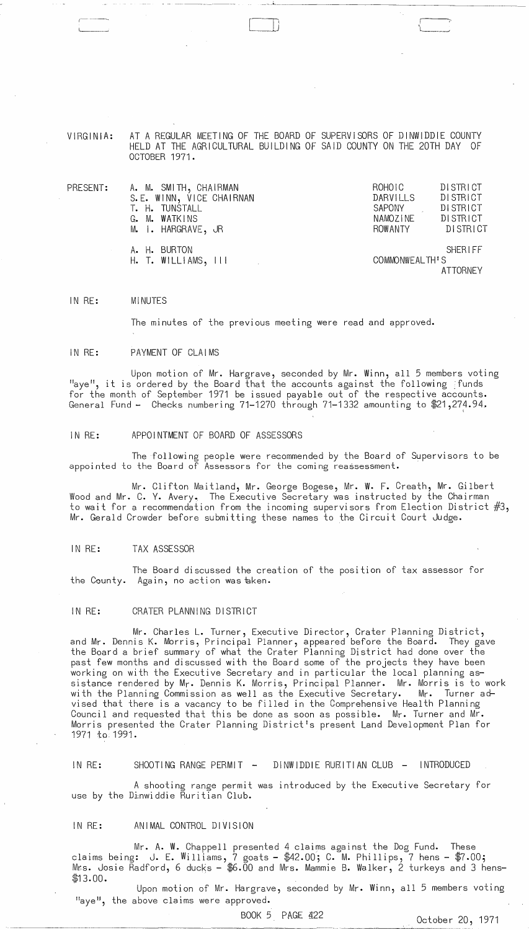#### VIRGINIA: AT A REGULAR MEETING OF THE BOARD OF SUPERVISORS OF DINWIDDIE COUNTY HELD AT THE AGRICULTURAL BUILDING OF SAID COUNTY ON THE 20TH DAY OF OCTOBER 1971.

 $\bigcap$ : )

I '[

| $\mathsf{PRESENT:}$ | A. M. SMITH, CHAIRMAN    | ROHOIC         | <b>DISTRICT</b> |
|---------------------|--------------------------|----------------|-----------------|
|                     | S.E. WINN, VICE CHAIRNAN | DARVILLS       | DI STRI CT      |
|                     | T. H. TUNSTALL           | SAPONY         | <b>DISTRICT</b> |
|                     | G. M. WATKINS            | NAMOZINE       | <b>DISTRICT</b> |
|                     | M. I. HARGRAVE, JR       | ROWANTY        | DISTRICT        |
|                     | A. H. BURTON             |                | SHERIFF         |
|                     | $H.$ T. WILLIAMS, $III$  | COMMONWEALTH'S |                 |
|                     |                          |                | <b>ATTORNEY</b> |

IN RE: MINUTES

The minutes of the previous meeting were read and approved.

#### IN RE: PAYMENT OF CLAIMS

Upon motion of Mr. Hargrave, seconded by Mr. Winn, all 5 members voting "aye", it is ordered by the Board that the accounts against the following ;funds for the month of September 1971 be issued payable out of the respective accounts. General Fund - Checks numbering  $71-1270$  through  $71-1332$  amounting to  $$21,274.94.$ 

### IN RE: APPOINTMENT OF BOARD OF ASSESSORS

The following people were recommended by the Board of Supervisors to be appointed to the Board of Assessors for the coming reassessment.

Mr. Clifton Maitland, Mr. George Bogese, Mr. W. F. Creath, Mr. Gilbert Wood and Mr. C. Y. Avery. The Executive Secretary was instructed by the Chairman to wait for a recommendation from the incoming supervisors from Election District #3, Mr. Gerald Crowder before submitting these names to the Circuit Court Judge.

#### IN RE: TAX ASSESSOR

The Board discussed the creation of the position of tax assessor for the County. Again, no action was aken.

#### IN RE: CRATER PLANNING DISTRICT

Mr. Charles L. Turner, Executive Director, Crater Planning District, and Mr. Dennis K. Morris, Principal Planner, appeared before the Board. They gave the Board a brief summary of what the Crater Planning District had done over the past few months and discussed with the Board some of the projects they have been working on with the Executive Secretary and in particular the local planning assistance rendered by Mr. Dennis K. Morris, Principal Planner. Mr. Morris is to work with the Planning Commission as well as the Executive Secretary. Mr. Turner advised that there is a vacancy to be filled in the Comprehensive Health Planning Council and requested that this be done as soon as possible. Mr. Turner and Mr. Morris presented the Crater Planning District's present Land Development Plan for 1971 to 1991.

# IN RE: SHOOTING RANGE PERMIT - DINWIDDIE RURITIAN CLUB - INTRODUCED

A shooting range permit was introduced by the Executive Secretary for use by the Dinwiddie Ruritian Club.

### IN RE: ANIMAL CONTROL DIVISION

Mr. A. W. Chappell presented 4 claims against the Dog Fund. These claims being: J. E. Williams, 7 goats - \$42.00; C. M. Phillips, 7 hens - \$7.00; Mrs. Josie R̄adford, 6 ducks — \$6.00 and Mrs. Mammie B. Walker, 2 turkeys and 3 hens-\$13.00.

Upon motion of Mr. Hargrave, seconded by Mr. Winn, all 5 members voting "aye", the above claims were approved.

BOOK 5 PAGE 422 0ctober 20, 1971